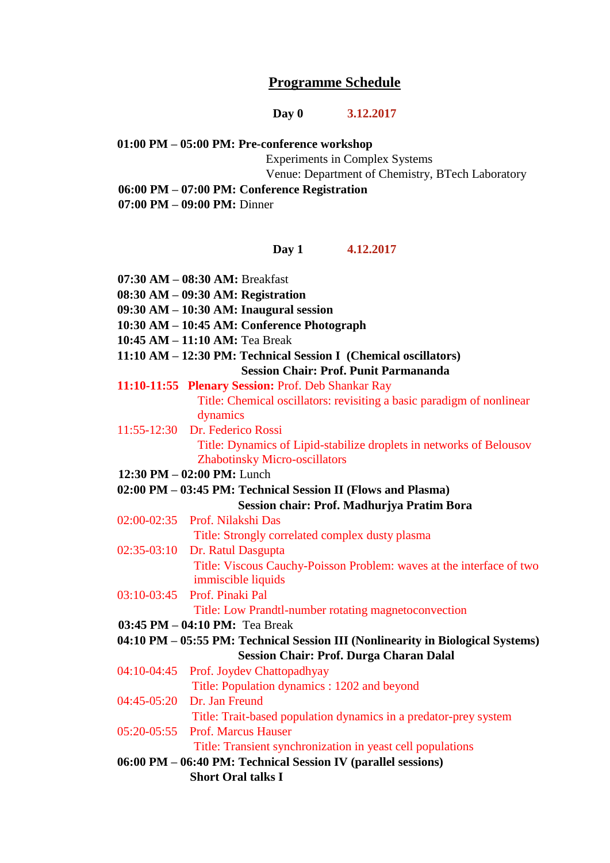# **Programme Schedule**

**Day 0 3.12.2017**

**01:00 PM – 05:00 PM: Pre-conference workshop**

Experiments in Complex Systems

Venue: Department of Chemistry, BTech Laboratory

**06:00 PM – 07:00 PM: Conference Registration**

**07:00 PM – 09:00 PM:** Dinner

#### **Day 1 4.12.2017**

**07:30 AM – 08:30 AM:** Breakfast **08:30 AM – 09:30 AM: Registration 09:30 AM – 10:30 AM: Inaugural session 10:30 AM – 10:45 AM: Conference Photograph 10:45 AM – 11:10 AM:** Tea Break **11:10 AM – 12:30 PM: Technical Session I (Chemical oscillators) Session Chair: Prof. Punit Parmananda 11:10-11:55 Plenary Session:** Prof. Deb Shankar Ray Title: Chemical oscillators: revisiting a basic paradigm of nonlinear dynamics 11:55-12:30 Dr. Federico Rossi Title: Dynamics of Lipid-stabilize droplets in networks of Belousov Zhabotinsky Micro-oscillators **12:30 PM – 02:00 PM:** Lunch **02:00 PM – 03:45 PM: Technical Session II (Flows and Plasma) Session chair: Prof. Madhurjya Pratim Bora** 02:00-02:35 Prof. Nilakshi Das Title: Strongly correlated complex dusty plasma 02:35-03:10 Dr. Ratul Dasgupta Title: Viscous Cauchy-Poisson Problem: waves at the interface of two immiscible liquids 03:10-03:45 Prof. Pinaki Pal Title: Low Prandtl-number rotating magnetoconvection **03:45 PM – 04:10 PM:** Tea Break **04:10 PM – 05:55 PM: Technical Session III (Nonlinearity in Biological Systems) Session Chair: Prof. Durga Charan Dalal** 04:10-04:45 Prof. Joydev Chattopadhyay Title: Population dynamics : 1202 and beyond 04:45-05:20 Dr. Jan Freund Title: Trait-based population dynamics in a predator-prey system 05:20-05:55 Prof. Marcus Hauser Title: Transient synchronization in yeast cell populations **06:00 PM – 06:40 PM: Technical Session IV (parallel sessions) Short Oral talks I**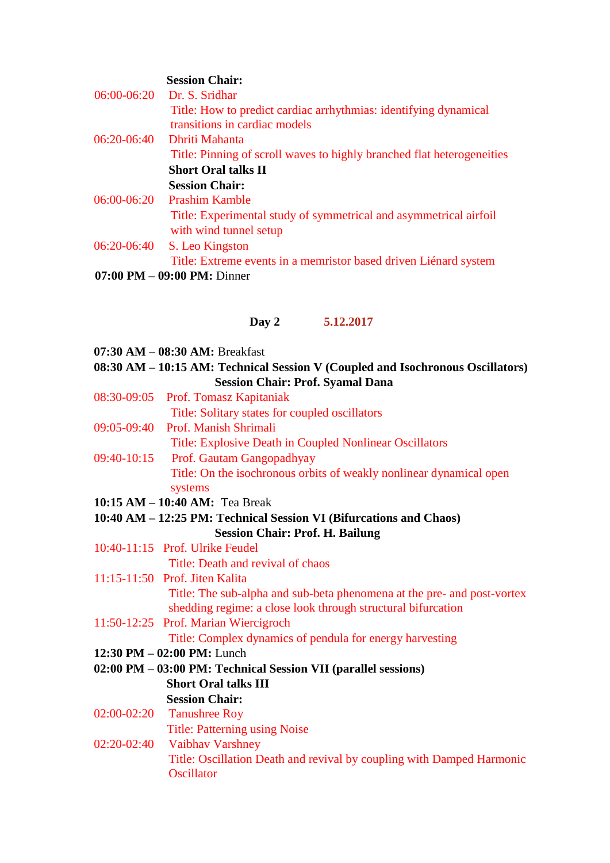# **Session Chair:**

|                                                | 06:00-06:20 Dr. S. Sridhar                                             |  |  |
|------------------------------------------------|------------------------------------------------------------------------|--|--|
|                                                | Title: How to predict cardiac arrhythmias: identifying dynamical       |  |  |
|                                                | transitions in cardiac models                                          |  |  |
| $06:20-06:40$                                  | - Dhriti Mahanta                                                       |  |  |
|                                                | Title: Pinning of scroll waves to highly branched flat heterogeneities |  |  |
|                                                | <b>Short Oral talks II</b>                                             |  |  |
|                                                | <b>Session Chair:</b>                                                  |  |  |
| 06:00-06:20                                    | <b>Prashim Kamble</b>                                                  |  |  |
|                                                | Title: Experimental study of symmetrical and asymmetrical airfoil      |  |  |
|                                                | with wind tunnel setup                                                 |  |  |
| 06:20-06:40                                    | S. Leo Kingston                                                        |  |  |
|                                                | Title: Extreme events in a memristor based driven Liénard system       |  |  |
| $07:00 \text{ PM} - 09:00 \text{ PM}$ : Dinner |                                                                        |  |  |

#### **Day 2 5.12.2017**

|  | 07:30 AM - 08:30 AM: Breakfast |
|--|--------------------------------|
|--|--------------------------------|

**08:30 AM – 10:15 AM: Technical Session V (Coupled and Isochronous Oscillators) Session Chair: Prof. Syamal Dana**

- 08:30-09:05 Prof. Tomasz Kapitaniak Title: Solitary states for coupled oscillators
- 09:05-09:40 Prof. Manish Shrimali

Title: Explosive Death in Coupled Nonlinear Oscillators

- 09:40-10:15 Prof. Gautam Gangopadhyay Title: On the isochronous orbits of weakly nonlinear dynamical open systems
- **10:15 AM – 10:40 AM:** Tea Break
- **10:40 AM – 12:25 PM: Technical Session VI (Bifurcations and Chaos) Session Chair: Prof. H. Bailung**
- 10:40-11:15 Prof. Ulrike Feudel Title: Death and revival of chaos
- 11:15-11:50 Prof. Jiten Kalita Title: The sub-alpha and sub-beta phenomena at the pre- and post-vortex shedding regime: a close look through structural bifurcation
- 11:50-12:25 Prof. Marian Wiercigroch

Title: Complex dynamics of pendula for energy harvesting

- **12:30 PM – 02:00 PM:** Lunch
- **02:00 PM – 03:00 PM: Technical Session VII (parallel sessions) Short Oral talks III**
- **Session Chair:** 02:00-02:20 Tanushree Roy

Title: Patterning using Noise

02:20-02:40 Vaibhav Varshney Title: Oscillation Death and revival by coupling with Damped Harmonic **Oscillator**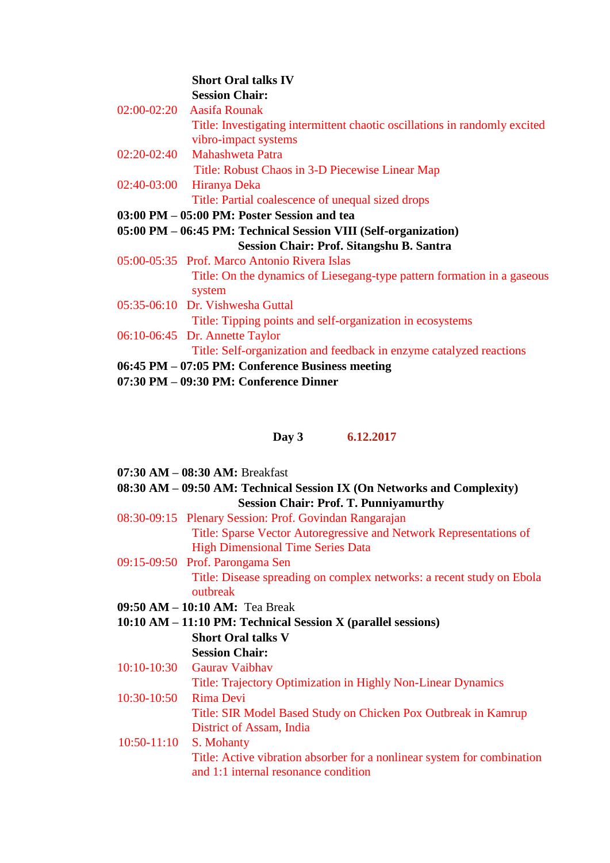#### **Short Oral talks IV Session Chair:**

| 02:00-02:20 Aasifa Rounak                                                  |
|----------------------------------------------------------------------------|
| Title: Investigating intermittent chaotic oscillations in randomly excited |
| vibro-impact systems                                                       |
| 02:20-02:40 Mahashweta Patra                                               |
| Title: Robust Chaos in 3-D Piecewise Linear Map                            |
| 02:40-03:00 Hiranya Deka                                                   |
| Title: Partial coalescence of unequal sized drops                          |
| 03:00 PM – 05:00 PM: Poster Session and tea                                |
| 05:00 PM - 06:45 PM: Technical Session VIII (Self-organization)            |
| Session Chair: Prof. Sitangshu B. Santra                                   |
| 05:00-05:35 Prof. Marco Antonio Rivera Islas                               |
| Title: On the dynamics of Liesegang-type pattern formation in a gaseous    |
| system                                                                     |
| 05:35-06:10 Dr. Vishwesha Guttal                                           |
| Title: Tipping points and self-organization in ecosystems                  |
| 06:10-06:45 Dr. Annette Taylor                                             |
| Title: Self-organization and feedback in enzyme catalyzed reactions        |
| 06:45 PM - 07:05 PM: Conference Business meeting                           |
| $07:30$ PM $- 09:30$ PM: Conference Dinner                                 |

# **Day 3 6.12.2017**

| $07:30 AM - 08:30 AM$ : Breakfast |  |  |  |
|-----------------------------------|--|--|--|
|-----------------------------------|--|--|--|

## **08:30 AM – 09:50 AM: Technical Session IX (On Networks and Complexity) Session Chair: Prof. T. Punniyamurthy**

- 08:30-09:15 Plenary Session: Prof. Govindan Rangarajan Title: Sparse Vector Autoregressive and Network Representations of High Dimensional Time Series Data
- 09:15-09:50 Prof. Parongama Sen Title: Disease spreading on complex networks: a recent study on Ebola outbreak
- **09:50 AM – 10:10 AM:** Tea Break
- **10:10 AM – 11:10 PM: Technical Session X (parallel sessions) Short Oral talks V**

# **Session Chair:**

10:10-10:30 Gaurav Vaibhav Title: Trajectory Optimization in Highly Non-Linear Dynamics 10:30-10:50 Rima Devi

> Title: SIR Model Based Study on Chicken Pox Outbreak in Kamrup District of Assam, India

10:50-11:10 S. Mohanty Title: Active vibration absorber for a nonlinear system for combination and 1:1 internal resonance condition